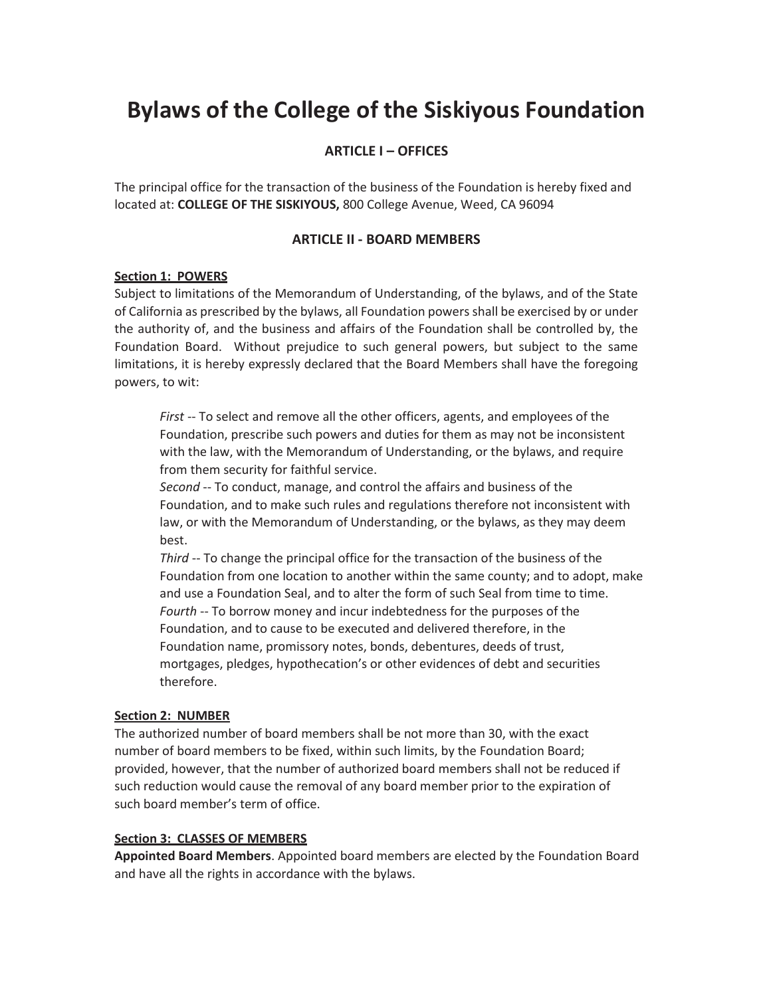# **Bylaws of the College of the Siskiyous Foundation**

## **ARTICLE I – OFFICES**

The principal office for the transaction of the business of the Foundation is hereby fixed and located at: **COLLEGE OF THE SISKIYOUS,** 800 College Avenue, Weed, CA 96094

#### **ARTICLE II - BOARD MEMBERS**

#### **Section 1: POWERS**

Subject to limitations of the Memorandum of Understanding, of the bylaws, and of the State of California as prescribed by the bylaws, all Foundation powers shall be exercised by or under the authority of, and the business and affairs of the Foundation shall be controlled by, the Foundation Board. Without prejudice to such general powers, but subject to the same limitations, it is hereby expressly declared that the Board Members shall have the foregoing powers, to wit:

*First* -- To select and remove all the other officers, agents, and employees of the Foundation, prescribe such powers and duties for them as may not be inconsistent with the law, with the Memorandum of Understanding, or the bylaws, and require from them security for faithful service.

*Second* -- To conduct, manage, and control the affairs and business of the Foundation, and to make such rules and regulations therefore not inconsistent with law, or with the Memorandum of Understanding, or the bylaws, as they may deem best.

*Third* -- To change the principal office for the transaction of the business of the Foundation from one location to another within the same county; and to adopt, make and use a Foundation Seal, and to alter the form of such Seal from time to time. *Fourth* -- To borrow money and incur indebtedness for the purposes of the Foundation, and to cause to be executed and delivered therefore, in the Foundation name, promissory notes, bonds, debentures, deeds of trust, mortgages, pledges, hypothecation's or other evidences of debt and securities therefore.

#### **Section 2: NUMBER**

The authorized number of board members shall be not more than 30, with the exact number of board members to be fixed, within such limits, by the Foundation Board; provided, however, that the number of authorized board members shall not be reduced if such reduction would cause the removal of any board member prior to the expiration of such board member's term of office.

#### **Section 3: CLASSES OF MEMBERS**

**Appointed Board Members**. Appointed board members are elected by the Foundation Board and have all the rights in accordance with the bylaws.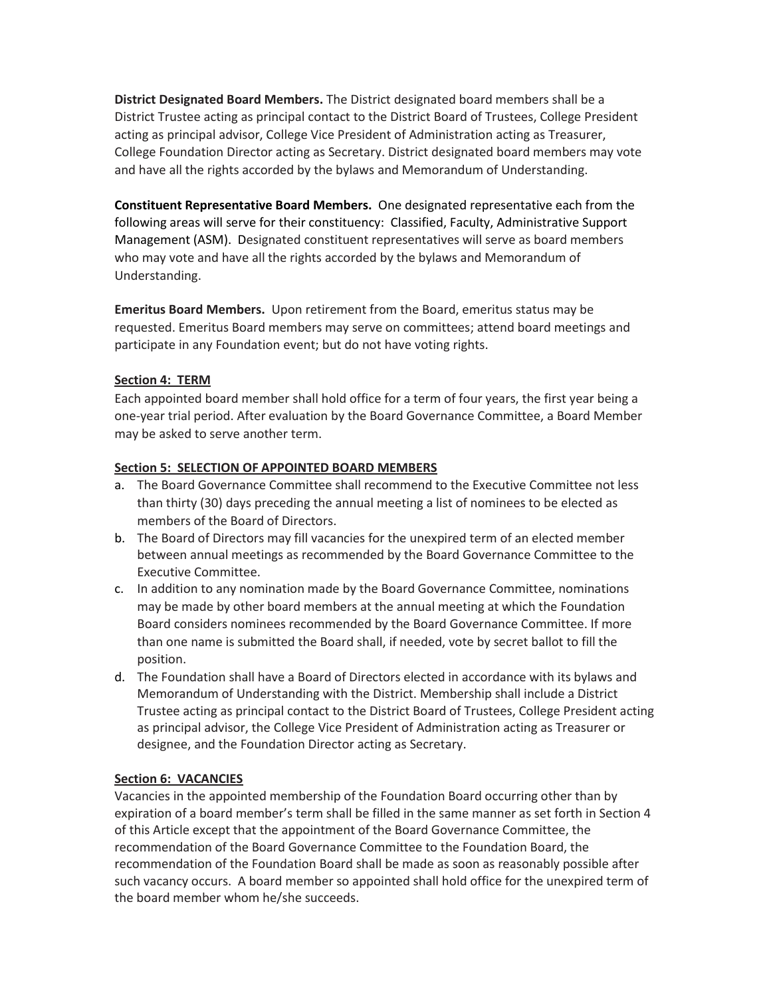**District Designated Board Members.** The District designated board members shall be a District Trustee acting as principal contact to the District Board of Trustees, College President acting as principal advisor, College Vice President of Administration acting as Treasurer, College Foundation Director acting as Secretary. District designated board members may vote and have all the rights accorded by the bylaws and Memorandum of Understanding.

**Constituent Representative Board Members.** One designated representative each from the following areas will serve for their constituency: Classified, Faculty, Administrative Support Management (ASM). Designated constituent representatives will serve as board members who may vote and have all the rights accorded by the bylaws and Memorandum of Understanding.

**Emeritus Board Members.** Upon retirement from the Board, emeritus status may be requested. Emeritus Board members may serve on committees; attend board meetings and participate in any Foundation event; but do not have voting rights.

## **Section 4: TERM**

Each appointed board member shall hold office for a term of four years, the first year being a one-year trial period. After evaluation by the Board Governance Committee, a Board Member may be asked to serve another term.

## **Section 5: SELECTION OF APPOINTED BOARD MEMBERS**

- a. The Board Governance Committee shall recommend to the Executive Committee not less than thirty (30) days preceding the annual meeting a list of nominees to be elected as members of the Board of Directors.
- b. The Board of Directors may fill vacancies for the unexpired term of an elected member between annual meetings as recommended by the Board Governance Committee to the Executive Committee.
- c. In addition to any nomination made by the Board Governance Committee, nominations may be made by other board members at the annual meeting at which the Foundation Board considers nominees recommended by the Board Governance Committee. If more than one name is submitted the Board shall, if needed, vote by secret ballot to fill the position.
- d. The Foundation shall have a Board of Directors elected in accordance with its bylaws and Memorandum of Understanding with the District. Membership shall include a District Trustee acting as principal contact to the District Board of Trustees, College President acting as principal advisor, the College Vice President of Administration acting as Treasurer or designee, and the Foundation Director acting as Secretary.

# **Section 6: VACANCIES**

Vacancies in the appointed membership of the Foundation Board occurring other than by expiration of a board member's term shall be filled in the same manner as set forth in Section 4 of this Article except that the appointment of the Board Governance Committee, the recommendation of the Board Governance Committee to the Foundation Board, the recommendation of the Foundation Board shall be made as soon as reasonably possible after such vacancy occurs. A board member so appointed shall hold office for the unexpired term of the board member whom he/she succeeds.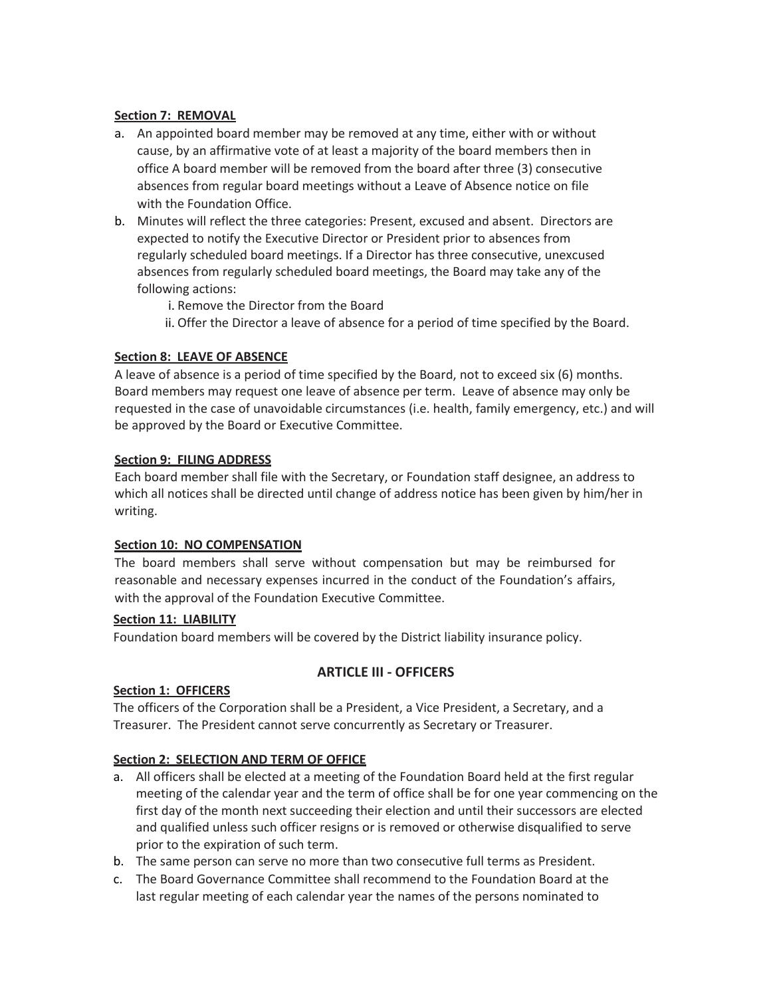## **Section 7: REMOVAL**

- a. An appointed board member may be removed at any time, either with or without cause, by an affirmative vote of at least a majority of the board members then in office A board member will be removed from the board after three (3) consecutive absences from regular board meetings without a Leave of Absence notice on file with the Foundation Office.
- b. Minutes will reflect the three categories: Present, excused and absent. Directors are expected to notify the Executive Director or President prior to absences from regularly scheduled board meetings. If a Director has three consecutive, unexcused absences from regularly scheduled board meetings, the Board may take any of the following actions:
	- i. Remove the Director from the Board
	- ii. Offer the Director a leave of absence for a period of time specified by the Board.

## **Section 8: LEAVE OF ABSENCE**

A leave of absence is a period of time specified by the Board, not to exceed six (6) months. Board members may request one leave of absence per term. Leave of absence may only be requested in the case of unavoidable circumstances (i.e. health, family emergency, etc.) and will be approved by the Board or Executive Committee.

## **Section 9: FILING ADDRESS**

Each board member shall file with the Secretary, or Foundation staff designee, an address to which all notices shall be directed until change of address notice has been given by him/her in writing.

## **Section 10: NO COMPENSATION**

The board members shall serve without compensation but may be reimbursed for reasonable and necessary expenses incurred in the conduct of the Foundation's affairs, with the approval of the Foundation Executive Committee.

## **Section 11: LIABILITY**

Foundation board members will be covered by the District liability insurance policy.

# **ARTICLE III - OFFICERS**

## **Section 1: OFFICERS**

The officers of the Corporation shall be a President, a Vice President, a Secretary, and a Treasurer. The President cannot serve concurrently as Secretary or Treasurer.

## **Section 2: SELECTION AND TERM OF OFFICE**

- a. All officers shall be elected at a meeting of the Foundation Board held at the first regular meeting of the calendar year and the term of office shall be for one year commencing on the first day of the month next succeeding their election and until their successors are elected and qualified unless such officer resigns or is removed or otherwise disqualified to serve prior to the expiration of such term.
- b. The same person can serve no more than two consecutive full terms as President.
- c. The Board Governance Committee shall recommend to the Foundation Board at the last regular meeting of each calendar year the names of the persons nominated to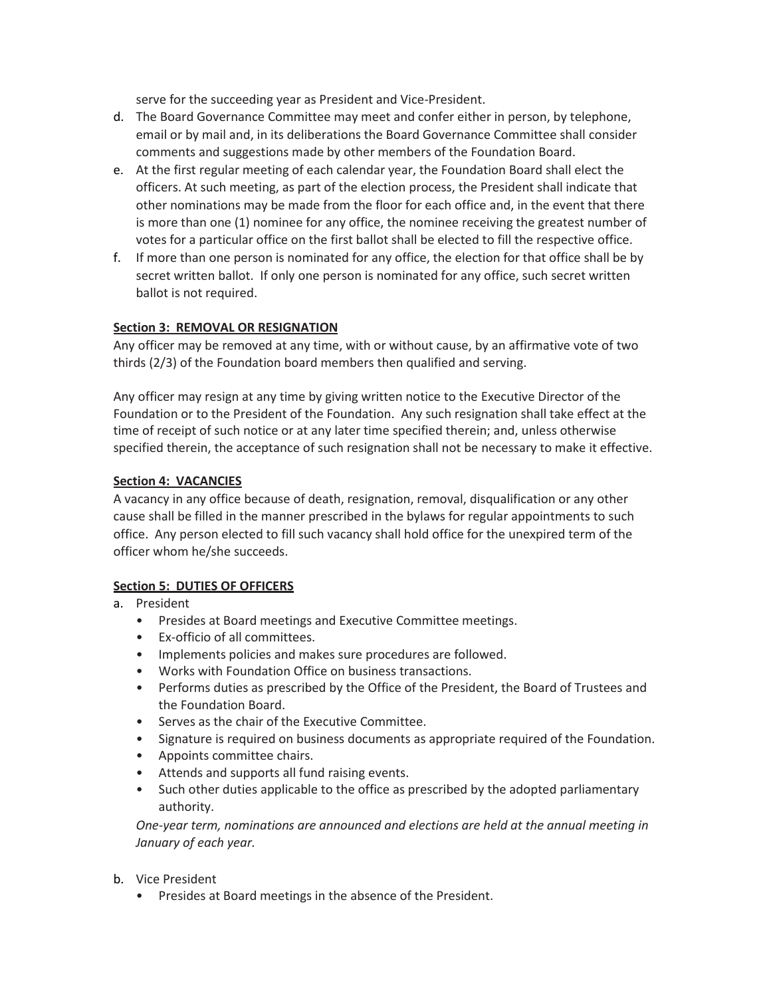serve for the succeeding year as President and Vice-President.

- d. The Board Governance Committee may meet and confer either in person, by telephone, email or by mail and, in its deliberations the Board Governance Committee shall consider comments and suggestions made by other members of the Foundation Board.
- e. At the first regular meeting of each calendar year, the Foundation Board shall elect the officers. At such meeting, as part of the election process, the President shall indicate that other nominations may be made from the floor for each office and, in the event that there is more than one (1) nominee for any office, the nominee receiving the greatest number of votes for a particular office on the first ballot shall be elected to fill the respective office.
- f. If more than one person is nominated for any office, the election for that office shall be by secret written ballot. If only one person is nominated for any office, such secret written ballot is not required.

## **Section 3: REMOVAL OR RESIGNATION**

Any officer may be removed at any time, with or without cause, by an affirmative vote of two thirds (2/3) of the Foundation board members then qualified and serving.

Any officer may resign at any time by giving written notice to the Executive Director of the Foundation or to the President of the Foundation. Any such resignation shall take effect at the time of receipt of such notice or at any later time specified therein; and, unless otherwise specified therein, the acceptance of such resignation shall not be necessary to make it effective.

## **Section 4: VACANCIES**

A vacancy in any office because of death, resignation, removal, disqualification or any other cause shall be filled in the manner prescribed in the bylaws for regular appointments to such office. Any person elected to fill such vacancy shall hold office for the unexpired term of the officer whom he/she succeeds.

# **Section 5: DUTIES OF OFFICERS**

- a. President
	- Presides at Board meetings and Executive Committee meetings.
	- Ex-officio of all committees.
	- Implements policies and makes sure procedures are followed.
	- Works with Foundation Office on business transactions.
	- Performs duties as prescribed by the Office of the President, the Board of Trustees and the Foundation Board.
	- Serves as the chair of the Executive Committee.
	- Signature is required on business documents as appropriate required of the Foundation.
	- Appoints committee chairs.
	- Attends and supports all fund raising events.
	- Such other duties applicable to the office as prescribed by the adopted parliamentary authority.

*One-year term, nominations are announced and elections are held at the annual meeting in January of each year.*

- b. Vice President
	- Presides at Board meetings in the absence of the President.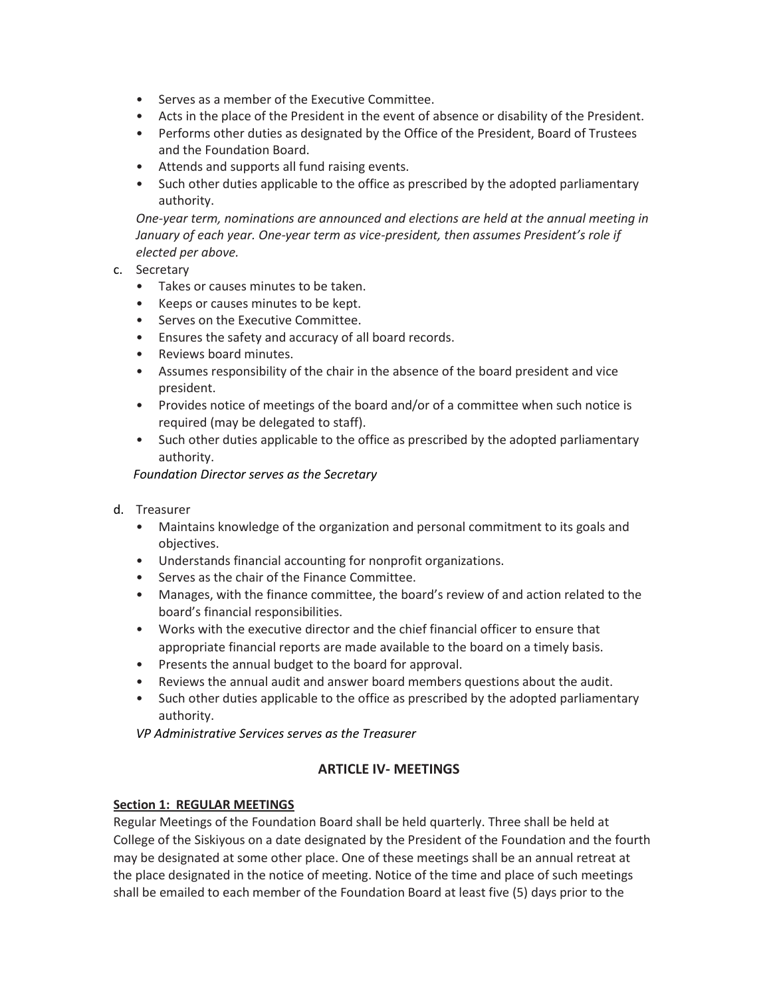- Serves as a member of the Executive Committee.
- Acts in the place of the President in the event of absence or disability of the President.
- Performs other duties as designated by the Office of the President, Board of Trustees and the Foundation Board.
- Attends and supports all fund raising events.
- Such other duties applicable to the office as prescribed by the adopted parliamentary authority.

*One-year term, nominations are announced and elections are held at the annual meeting in January of each year. One-year term as vice-president, then assumes President's role if elected per above.*

- c. Secretary
	- Takes or causes minutes to be taken.
	- Keeps or causes minutes to be kept.
	- Serves on the Executive Committee.
	- Ensures the safety and accuracy of all board records.
	- Reviews board minutes.
	- Assumes responsibility of the chair in the absence of the board president and vice president.
	- Provides notice of meetings of the board and/or of a committee when such notice is required (may be delegated to staff).
	- Such other duties applicable to the office as prescribed by the adopted parliamentary authority.

## *Foundation Director serves as the Secretary*

- d. Treasurer
	- Maintains knowledge of the organization and personal commitment to its goals and objectives.
	- Understands financial accounting for nonprofit organizations.
	- Serves as the chair of the Finance Committee.
	- Manages, with the finance committee, the board's review of and action related to the board's financial responsibilities.
	- Works with the executive director and the chief financial officer to ensure that appropriate financial reports are made available to the board on a timely basis.
	- Presents the annual budget to the board for approval.
	- Reviews the annual audit and answer board members questions about the audit.
	- Such other duties applicable to the office as prescribed by the adopted parliamentary authority.

*VP Administrative Services serves as the Treasurer*

# **ARTICLE IV- MEETINGS**

## **Section 1: REGULAR MEETINGS**

Regular Meetings of the Foundation Board shall be held quarterly. Three shall be held at College of the Siskiyous on a date designated by the President of the Foundation and the fourth may be designated at some other place. One of these meetings shall be an annual retreat at the place designated in the notice of meeting. Notice of the time and place of such meetings shall be emailed to each member of the Foundation Board at least five (5) days prior to the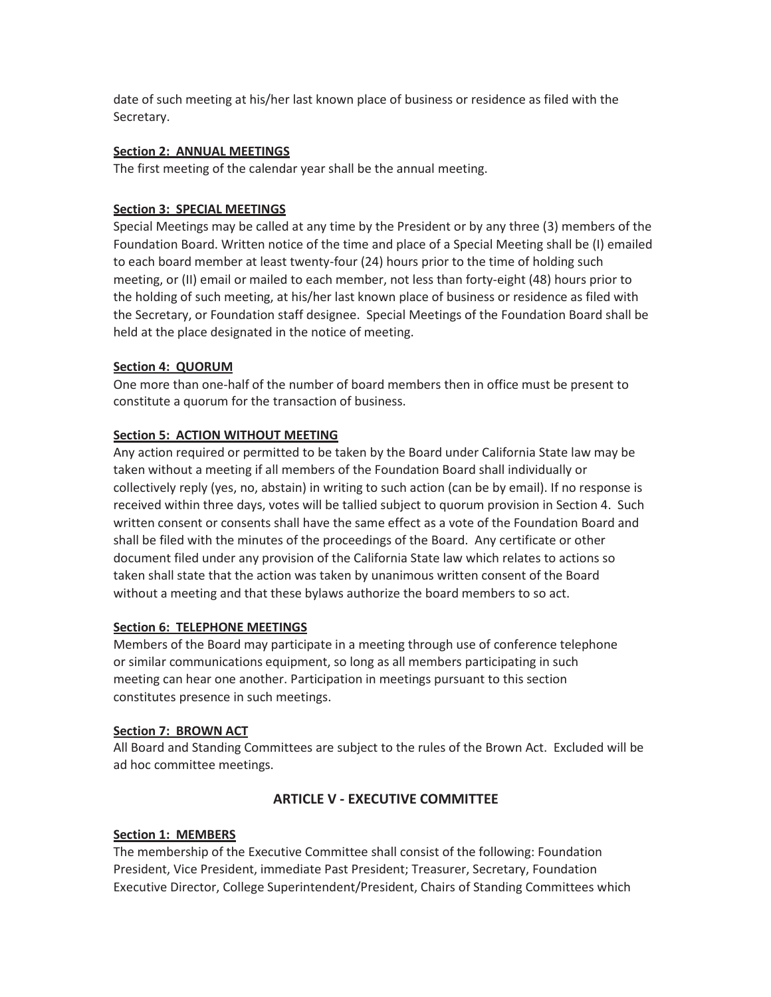date of such meeting at his/her last known place of business or residence as filed with the Secretary.

## **Section 2: ANNUAL MEETINGS**

The first meeting of the calendar year shall be the annual meeting.

## **Section 3: SPECIAL MEETINGS**

Special Meetings may be called at any time by the President or by any three (3) members of the Foundation Board. Written notice of the time and place of a Special Meeting shall be (I) emailed to each board member at least twenty-four (24) hours prior to the time of holding such meeting, or (II) email or mailed to each member, not less than forty-eight (48) hours prior to the holding of such meeting, at his/her last known place of business or residence as filed with the Secretary, or Foundation staff designee. Special Meetings of the Foundation Board shall be held at the place designated in the notice of meeting.

## **Section 4: QUORUM**

One more than one-half of the number of board members then in office must be present to constitute a quorum for the transaction of business.

# **Section 5: ACTION WITHOUT MEETING**

Any action required or permitted to be taken by the Board under California State law may be taken without a meeting if all members of the Foundation Board shall individually or collectively reply (yes, no, abstain) in writing to such action (can be by email). If no response is received within three days, votes will be tallied subject to quorum provision in Section 4. Such written consent or consents shall have the same effect as a vote of the Foundation Board and shall be filed with the minutes of the proceedings of the Board. Any certificate or other document filed under any provision of the California State law which relates to actions so taken shall state that the action was taken by unanimous written consent of the Board without a meeting and that these bylaws authorize the board members to so act.

## **Section 6: TELEPHONE MEETINGS**

Members of the Board may participate in a meeting through use of conference telephone or similar communications equipment, so long as all members participating in such meeting can hear one another. Participation in meetings pursuant to this section constitutes presence in such meetings.

## **Section 7: BROWN ACT**

All Board and Standing Committees are subject to the rules of the Brown Act. Excluded will be ad hoc committee meetings.

# **ARTICLE V - EXECUTIVE COMMITTEE**

# **Section 1: MEMBERS**

The membership of the Executive Committee shall consist of the following: Foundation President, Vice President, immediate Past President; Treasurer, Secretary, Foundation Executive Director, College Superintendent/President, Chairs of Standing Committees which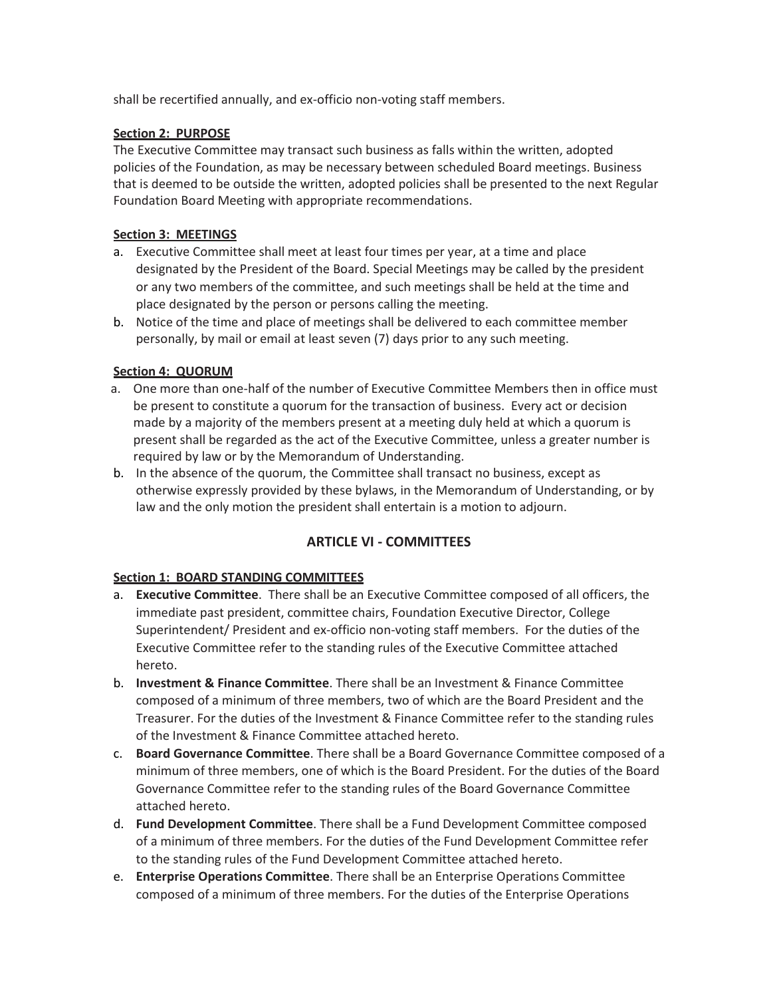shall be recertified annually, and ex-officio non-voting staff members.

## **Section 2: PURPOSE**

The Executive Committee may transact such business as falls within the written, adopted policies of the Foundation, as may be necessary between scheduled Board meetings. Business that is deemed to be outside the written, adopted policies shall be presented to the next Regular Foundation Board Meeting with appropriate recommendations.

## **Section 3: MEETINGS**

- a. Executive Committee shall meet at least four times per year, at a time and place designated by the President of the Board. Special Meetings may be called by the president or any two members of the committee, and such meetings shall be held at the time and place designated by the person or persons calling the meeting.
- b. Notice of the time and place of meetings shall be delivered to each committee member personally, by mail or email at least seven (7) days prior to any such meeting.

# **Section 4: QUORUM**

- a. One more than one-half of the number of Executive Committee Members then in office must be present to constitute a quorum for the transaction of business. Every act or decision made by a majority of the members present at a meeting duly held at which a quorum is present shall be regarded as the act of the Executive Committee, unless a greater number is required by law or by the Memorandum of Understanding.
- b. In the absence of the quorum, the Committee shall transact no business, except as otherwise expressly provided by these bylaws, in the Memorandum of Understanding, or by law and the only motion the president shall entertain is a motion to adjourn.

# **ARTICLE VI - COMMITTEES**

## **Section 1: BOARD STANDING COMMITTEES**

- a. **Executive Committee**. There shall be an Executive Committee composed of all officers, the immediate past president, committee chairs, Foundation Executive Director, College Superintendent/ President and ex-officio non-voting staff members. For the duties of the Executive Committee refer to the standing rules of the Executive Committee attached hereto.
- b. **Investment & Finance Committee**. There shall be an Investment & Finance Committee composed of a minimum of three members, two of which are the Board President and the Treasurer. For the duties of the Investment & Finance Committee refer to the standing rules of the Investment & Finance Committee attached hereto.
- c. **Board Governance Committee**. There shall be a Board Governance Committee composed of a minimum of three members, one of which is the Board President. For the duties of the Board Governance Committee refer to the standing rules of the Board Governance Committee attached hereto.
- d. **Fund Development Committee**. There shall be a Fund Development Committee composed of a minimum of three members. For the duties of the Fund Development Committee refer to the standing rules of the Fund Development Committee attached hereto.
- e. **Enterprise Operations Committee**. There shall be an Enterprise Operations Committee composed of a minimum of three members. For the duties of the Enterprise Operations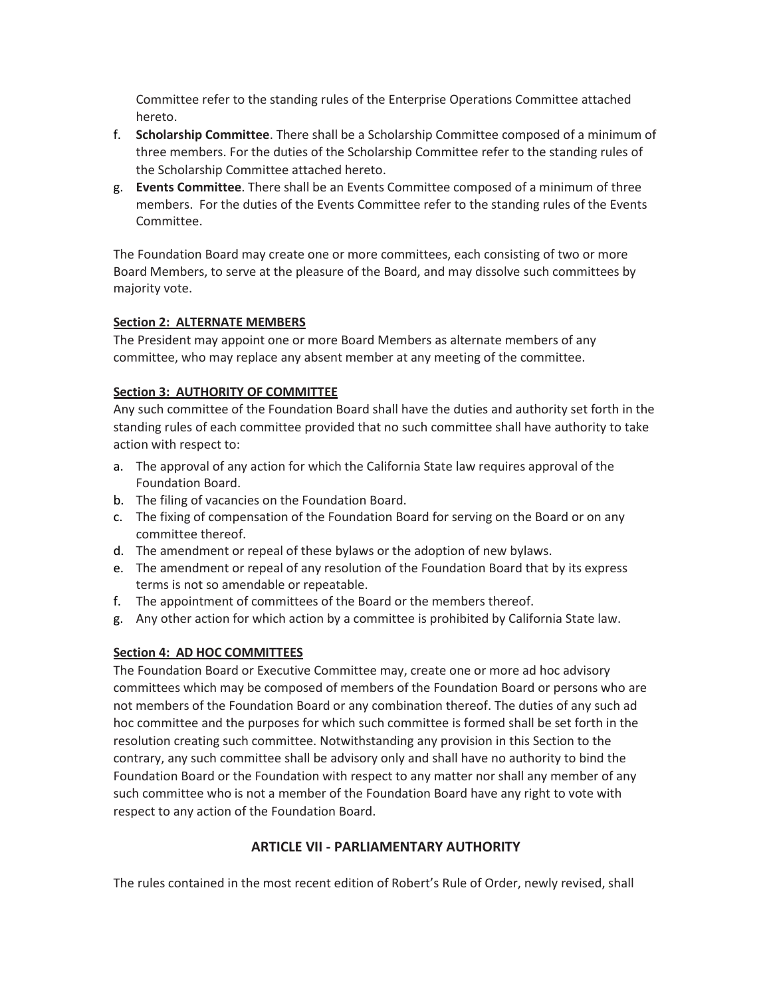Committee refer to the standing rules of the Enterprise Operations Committee attached hereto.

- f. **Scholarship Committee**. There shall be a Scholarship Committee composed of a minimum of three members. For the duties of the Scholarship Committee refer to the standing rules of the Scholarship Committee attached hereto.
- g. **Events Committee**. There shall be an Events Committee composed of a minimum of three members. For the duties of the Events Committee refer to the standing rules of the Events Committee.

The Foundation Board may create one or more committees, each consisting of two or more Board Members, to serve at the pleasure of the Board, and may dissolve such committees by majority vote.

## **Section 2: ALTERNATE MEMBERS**

The President may appoint one or more Board Members as alternate members of any committee, who may replace any absent member at any meeting of the committee.

## **Section 3: AUTHORITY OF COMMITTEE**

Any such committee of the Foundation Board shall have the duties and authority set forth in the standing rules of each committee provided that no such committee shall have authority to take action with respect to:

- a. The approval of any action for which the California State law requires approval of the Foundation Board.
- b. The filing of vacancies on the Foundation Board.
- c. The fixing of compensation of the Foundation Board for serving on the Board or on any committee thereof.
- d. The amendment or repeal of these bylaws or the adoption of new bylaws.
- e. The amendment or repeal of any resolution of the Foundation Board that by its express terms is not so amendable or repeatable.
- f. The appointment of committees of the Board or the members thereof.
- g. Any other action for which action by a committee is prohibited by California State law.

# **Section 4: AD HOC COMMITTEES**

The Foundation Board or Executive Committee may, create one or more ad hoc advisory committees which may be composed of members of the Foundation Board or persons who are not members of the Foundation Board or any combination thereof. The duties of any such ad hoc committee and the purposes for which such committee is formed shall be set forth in the resolution creating such committee. Notwithstanding any provision in this Section to the contrary, any such committee shall be advisory only and shall have no authority to bind the Foundation Board or the Foundation with respect to any matter nor shall any member of any such committee who is not a member of the Foundation Board have any right to vote with respect to any action of the Foundation Board.

# **ARTICLE VII - PARLIAMENTARY AUTHORITY**

The rules contained in the most recent edition of Robert's Rule of Order, newly revised, shall